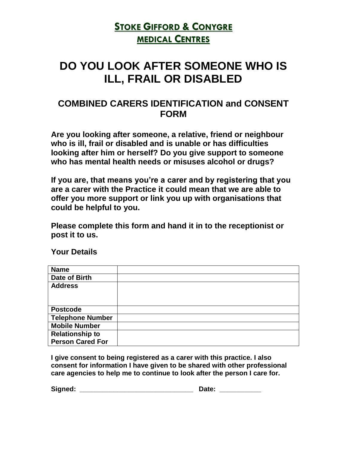### **STOKE GIFFORD & CONYGRE MEDICAL CENTRES**

# **DO YOU LOOK AFTER SOMEONE WHO IS ILL, FRAIL OR DISABLED**

### **COMBINED CARERS IDENTIFICATION and CONSENT FORM**

**Are you looking after someone, a relative, friend or neighbour who is ill, frail or disabled and is unable or has difficulties looking after him or herself? Do you give support to someone who has mental health needs or misuses alcohol or drugs?**

**If you are, that means you're a carer and by registering that you are a carer with the Practice it could mean that we are able to offer you more support or link you up with organisations that could be helpful to you.**

**Please complete this form and hand it in to the receptionist or post it to us.**

**Your Details**

| <b>Name</b>             |  |
|-------------------------|--|
| Date of Birth           |  |
| <b>Address</b>          |  |
|                         |  |
|                         |  |
| <b>Postcode</b>         |  |
| <b>Telephone Number</b> |  |
| <b>Mobile Number</b>    |  |
| <b>Relationship to</b>  |  |
| <b>Person Cared For</b> |  |

**I give consent to being registered as a carer with this practice. I also consent for information I have given to be shared with other professional care agencies to help me to continue to look after the person I care for.**

**Signed: \_\_\_\_\_\_\_\_\_\_\_\_\_\_\_\_\_\_\_\_\_\_\_\_\_\_\_\_\_\_ Date: \_\_\_\_\_\_\_\_\_\_\_**